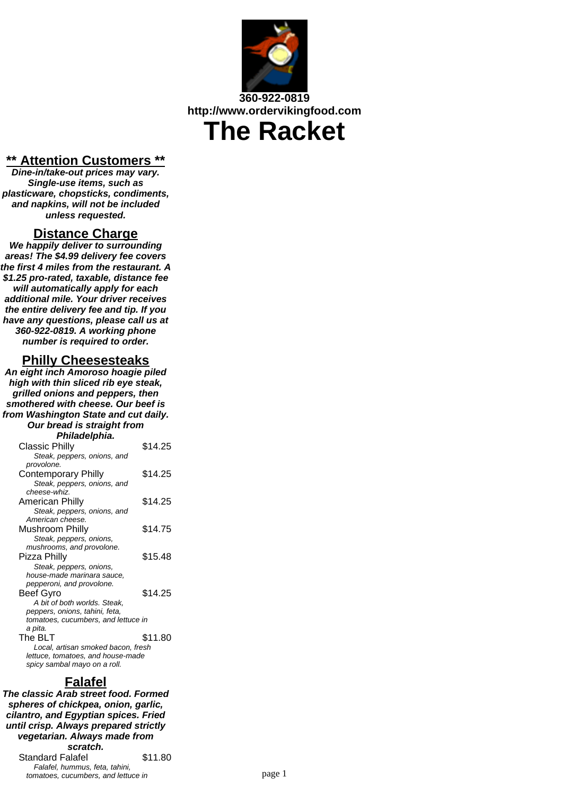

# **\*\* Attention Customers \*\***

**Dine-in/take-out prices may vary. Single-use items, such as plasticware, chopsticks, condiments, and napkins, will not be included unless requested.**

### **Distance Charge**

**We happily deliver to surrounding areas! The \$4.99 delivery fee covers the first 4 miles from the restaurant. A \$1.25 pro-rated, taxable, distance fee will automatically apply for each additional mile. Your driver receives the entire delivery fee and tip. If you have any questions, please call us at 360-922-0819. A working phone number is required to order.**

### **Philly Cheesesteaks**

**An eight inch Amoroso hoagie piled high with thin sliced rib eye steak, grilled onions and peppers, then smothered with cheese. Our beef is from Washington State and cut daily. Our bread is straight from Philadelphia.**

| , ,,,,,,,,,,,,,,,,                  |         |  |
|-------------------------------------|---------|--|
| Classic Philly                      | \$14.25 |  |
| Steak, peppers, onions, and         |         |  |
| provolone.                          |         |  |
| Contemporary Philly                 | \$14.25 |  |
| Steak, peppers, onions, and         |         |  |
| cheese-whiz.                        |         |  |
| American Philly                     | \$14.25 |  |
| Steak, peppers, onions, and         |         |  |
| American cheese.                    |         |  |
| Mushroom Philly                     | \$14.75 |  |
| Steak, peppers, onions,             |         |  |
| mushrooms, and provolone.           |         |  |
| Pizza Philly                        | \$15.48 |  |
| Steak, peppers, onions,             |         |  |
| house-made marinara sauce.          |         |  |
| pepperoni, and provolone.           |         |  |
| Beef Gvro                           | \$14.25 |  |
| A bit of both worlds. Steak,        |         |  |
| peppers, onions, tahini, feta,      |         |  |
| tomatoes, cucumbers, and lettuce in |         |  |
| a pita.                             |         |  |
| The BLT                             | \$11.80 |  |
| Local, artisan smoked bacon, fresh  |         |  |
| lettuce, tomatoes, and house-made   |         |  |
| spicy sambal mayo on a roll.        |         |  |

# **Falafel**

**The classic Arab street food. Formed spheres of chickpea, onion, garlic, cilantro, and Egyptian spices. Fried until crisp. Always prepared strictly vegetarian. Always made from scratch.** Standard Falafel \$11.80 Falafel, hummus, feta, tahini, tomatoes, cucumbers, and lettuce in page 1